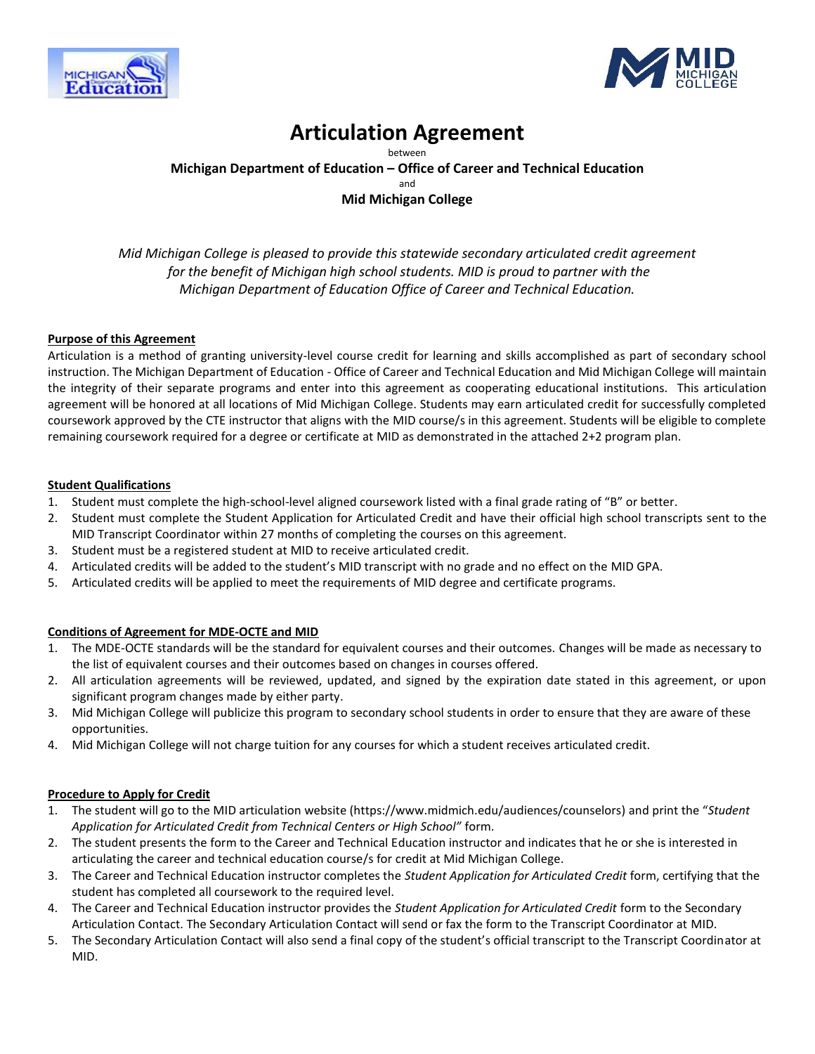



# **Articulation Agreement**

between

**Michigan Department of Education – Office of Career and Technical Education**

and

## **Mid Michigan College**

*Mid Michigan College is pleased to provide this statewide secondary articulated credit agreement for the benefit of Michigan high school students. MID is proud to partner with the Michigan Department of Education Office of Career and Technical Education.*

#### **Purpose of this Agreement**

Articulation is a method of granting university-level course credit for learning and skills accomplished as part of secondary school instruction. The Michigan Department of Education - Office of Career and Technical Education and Mid Michigan College will maintain the integrity of their separate programs and enter into this agreement as cooperating educational institutions. This articulation agreement will be honored at all locations of Mid Michigan College. Students may earn articulated credit for successfully completed coursework approved by the CTE instructor that aligns with the MID course/s in this agreement. Students will be eligible to complete remaining coursework required for a degree or certificate at MID as demonstrated in the attached 2+2 program plan.

#### **Student Qualifications**

- 1. Student must complete the high-school-level aligned coursework listed with a final grade rating of "B" or better.
- 2. Student must complete the Student Application for Articulated Credit and have their official high school transcripts sent to the MID Transcript Coordinator within 27 months of completing the courses on this agreement.
- 3. Student must be a registered student at MID to receive articulated credit.
- 4. Articulated credits will be added to the student's MID transcript with no grade and no effect on the MID GPA.
- 5. Articulated credits will be applied to meet the requirements of MID degree and certificate programs.

#### **Conditions of Agreement for MDE-OCTE and MID**

- 1. The MDE-OCTE standards will be the standard for equivalent courses and their outcomes. Changes will be made as necessary to the list of equivalent courses and their outcomes based on changes in courses offered.
- 2. All articulation agreements will be reviewed, updated, and signed by the expiration date stated in this agreement, or upon significant program changes made by either party.
- 3. Mid Michigan College will publicize this program to secondary school students in order to ensure that they are aware of these opportunities.
- 4. Mid Michigan College will not charge tuition for any courses for which a student receives articulated credit.

#### **Procedure to Apply for Credit**

- 1. The student will go to the MID articulation website (https://www.midmich.edu/audiences/counselors) and print the "*Student Application for Articulated Credit from Technical Centers or High School"* form.
- 2. The student presents the form to the Career and Technical Education instructor and indicates that he or she is interested in articulating the career and technical education course/s for credit at Mid Michigan College.
- 3. The Career and Technical Education instructor completes the *Student Application for Articulated Credit* form, certifying that the student has completed all coursework to the required level.
- 4. The Career and Technical Education instructor provides the *Student Application for Articulated Credit* form to the Secondary Articulation Contact. The Secondary Articulation Contact will send or fax the form to the Transcript Coordinator at MID.
- 5. The Secondary Articulation Contact will also send a final copy of the student's official transcript to the Transcript Coordinator at MID.